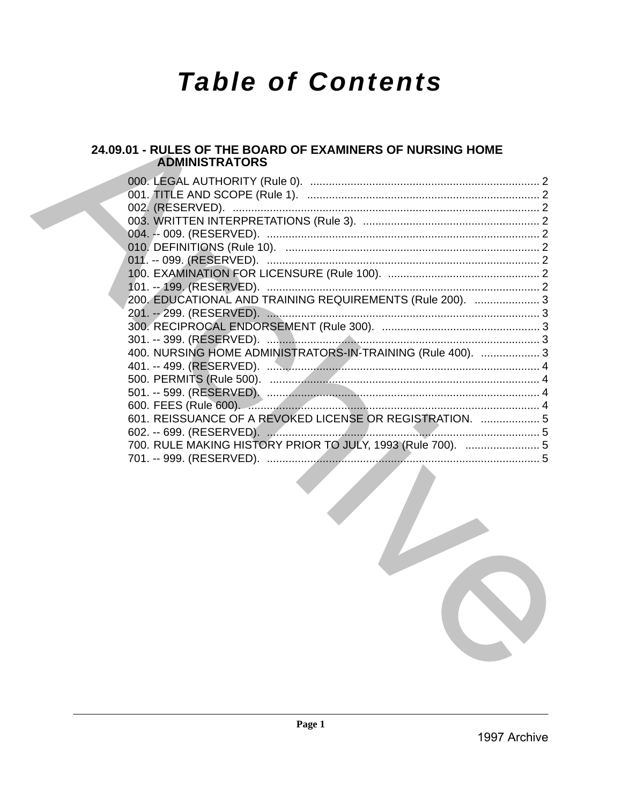# **Table of Contents**

# 24.09.01 - RULES OF THE BOARD OF EXAMINERS OF NURSING HOME **ADMINISTRATORS**

| 200, EDUCATIONAL AND TRAINING REQUIREMENTS (Rule 200).  3   |  |
|-------------------------------------------------------------|--|
|                                                             |  |
|                                                             |  |
|                                                             |  |
| 400. NURSING HOME ADMINISTRATORS-IN-TRAINING (Rule 400).  3 |  |
|                                                             |  |
|                                                             |  |
|                                                             |  |
|                                                             |  |
| 601. REISSUANCE OF A REVOKED LICENSE OR REGISTRATION.  5    |  |
|                                                             |  |
| 700. RULE MAKING HISTORY PRIOR TO JULY, 1993 (Rule 700).  5 |  |
|                                                             |  |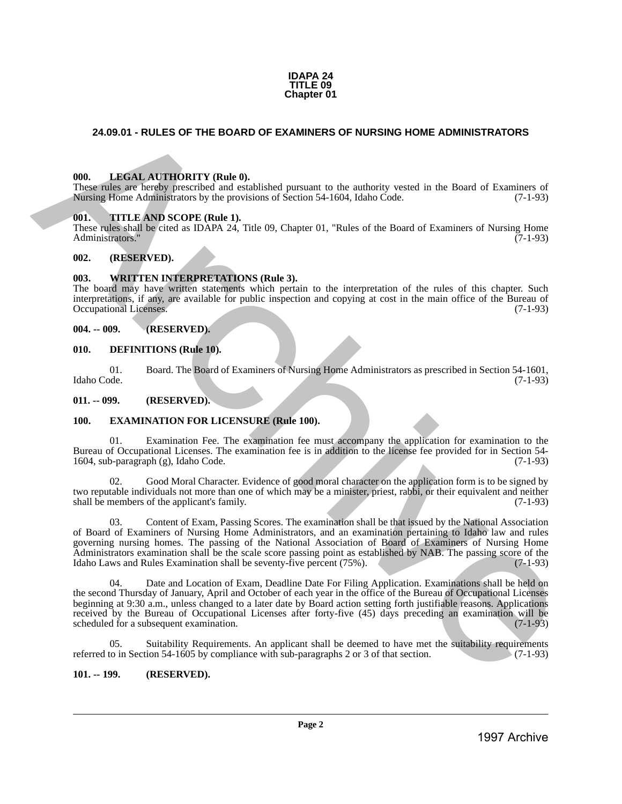#### **IDAPA 24 TITLE 09 Chapter 01**

# <span id="page-1-0"></span>**24.09.01 - RULES OF THE BOARD OF EXAMINERS OF NURSING HOME ADMINISTRATORS**

# <span id="page-1-1"></span>**000. LEGAL AUTHORITY (Rule 0).**

These rules are hereby prescribed and established pursuant to the authority vested in the Board of Examiners of Nursing Home Administrators by the provisions of Section 54-1604, Idaho Code. (7-1-93)

### <span id="page-1-2"></span>**001. TITLE AND SCOPE (Rule 1).**

These rules shall be cited as IDAPA 24, Title 09, Chapter 01, "Rules of the Board of Examiners of Nursing Home Administrators." (7-1-93)

### <span id="page-1-3"></span>**002. (RESERVED).**

### <span id="page-1-4"></span>**003. WRITTEN INTERPRETATIONS (Rule 3).**

The board may have written statements which pertain to the interpretation of the rules of this chapter. Such interpretations, if any, are available for public inspection and copying at cost in the main office of the Bureau of Occupational Licenses.

#### <span id="page-1-5"></span>**004. -- 009. (RESERVED).**

#### <span id="page-1-6"></span>**010. DEFINITIONS (Rule 10).**

01. Board. The Board of Examiners of Nursing Home Administrators as prescribed in Section 54-1601, Idaho Code. (7-1-93)

<span id="page-1-7"></span>**011. -- 099. (RESERVED).**

### <span id="page-1-8"></span>**100. EXAMINATION FOR LICENSURE (Rule 100).**

01. Examination Fee. The examination fee must accompany the application for examination to the Bureau of Occupational Licenses. The examination fee is in addition to the license fee provided for in Section 54-<br>1604, sub-paragraph (g), Idaho Code. (7-1-93) 1604, sub-paragraph  $(g)$ , Idaho Code.

Good Moral Character. Evidence of good moral character on the application form is to be signed by two reputable individuals not more than one of which may be a minister, priest, rabbi, or their equivalent and neither shall be members of the applicant's family. (7-1-93)

03. Content of Exam, Passing Scores. The examination shall be that issued by the National Association of Board of Examiners of Nursing Home Administrators, and an examination pertaining to Idaho law and rules governing nursing homes. The passing of the National Association of Board of Examiners of Nursing Home Administrators examination shall be the scale score passing point as established by NAB. The passing score of the Idaho Laws and Rules Examination shall be seventy-five percent (75%). Idaho Laws and Rules Examination shall be seventy-five percent  $(75\%)$ . 24.69.01 - RULES OF THE BOARD OF EXAMINERS OF NURSING HOME ADMINISTRATORS<br>
1998. LIMÉN LA TRIORITY (Red. 0).<br>
These takes are been considered at the state of the Board of Examine Considered Archives Considered at the Boar

04. Date and Location of Exam, Deadline Date For Filing Application. Examinations shall be held on the second Thursday of January, April and October of each year in the office of the Bureau of Occupational Licenses beginning at 9:30 a.m., unless changed to a later date by Board action setting forth justifiable reasons. Applications received by the Bureau of Occupational Licenses after forty-five (45) days preceding an examination will be scheduled for a subsequent examination. (7-1-93) scheduled for a subsequent examination.

05. Suitability Requirements. An applicant shall be deemed to have met the suitability requirements referred to in Section 54-1605 by compliance with sub-paragraphs 2 or 3 of that section. (7-1-93)

### <span id="page-1-9"></span>**101. -- 199. (RESERVED).**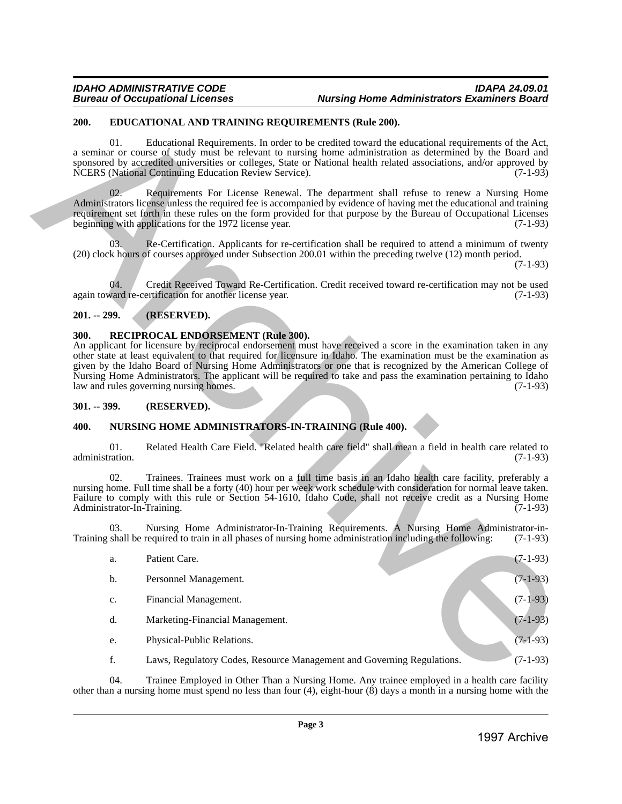# <span id="page-2-0"></span>**200. EDUCATIONAL AND TRAINING REQUIREMENTS (Rule 200).**

# <span id="page-2-1"></span>**201. -- 299. (RESERVED).**

# <span id="page-2-2"></span>**300. RECIPROCAL ENDORSEMENT (Rule 300).**

# <span id="page-2-3"></span>**301. -- 399. (RESERVED).**

# <span id="page-2-4"></span>**400. NURSING HOME ADMINISTRATORS-IN-TRAINING (Rule 400).**

|                 |               | EDUCATIONAL AND TRAINING REQUIREMENTS (Rule 200).                                                                                                                                                                                                                                                                                                                                                                                                                                                                                                          |            |
|-----------------|---------------|------------------------------------------------------------------------------------------------------------------------------------------------------------------------------------------------------------------------------------------------------------------------------------------------------------------------------------------------------------------------------------------------------------------------------------------------------------------------------------------------------------------------------------------------------------|------------|
|                 | 01.           | Educational Requirements. In order to be credited toward the educational requirements of the Act,<br>a seminar or course of study must be relevant to nursing home administration as determined by the Board and<br>sponsored by accredited universities or colleges, State or National health related associations, and/or approved by<br>NCERS (National Continuing Education Review Service).                                                                                                                                                           | $(7-1-93)$ |
|                 | 02.           | Requirements For License Renewal. The department shall refuse to renew a Nursing Home<br>Administrators license unless the required fee is accompanied by evidence of having met the educational and training<br>requirement set forth in these rules on the form provided for that purpose by the Bureau of Occupational Licenses<br>beginning with applications for the 1972 license year.                                                                                                                                                               | $(7-1-93)$ |
|                 | 03.           | Re-Certification. Applicants for re-certification shall be required to attend a minimum of twenty<br>(20) clock hours of courses approved under Subsection 200.01 within the preceding twelve (12) month period.                                                                                                                                                                                                                                                                                                                                           | $(7-1-93)$ |
|                 | 04.           | Credit Received Toward Re-Certification. Credit received toward re-certification may not be used<br>again toward re-certification for another license year.                                                                                                                                                                                                                                                                                                                                                                                                | $(7-1-93)$ |
| $201. - 299.$   |               | (RESERVED).                                                                                                                                                                                                                                                                                                                                                                                                                                                                                                                                                |            |
| 300.            |               | RECIPROCAL ENDORSEMENT (Rule 300).<br>An applicant for licensure by reciprocal endorsement must have received a score in the examination taken in any<br>other state at least equivalent to that required for licensure in Idaho. The examination must be the examination as<br>given by the Idaho Board of Nursing Home Administrators or one that is recognized by the American College of<br>Nursing Home Administrators. The applicant will be required to take and pass the examination pertaining to Idaho<br>law and rules governing nursing homes. | $(7-1-93)$ |
| $301. - 399.$   |               | (RESERVED).                                                                                                                                                                                                                                                                                                                                                                                                                                                                                                                                                |            |
| 400.            |               | NURSING HOME ADMINISTRATORS-IN-TRAINING (Rule 400).                                                                                                                                                                                                                                                                                                                                                                                                                                                                                                        |            |
| administration. | 01.           | Related Health Care Field. "Related health care field" shall mean a field in health care related to                                                                                                                                                                                                                                                                                                                                                                                                                                                        | $(7-1-93)$ |
|                 | 02.           | Trainees. Trainees must work on a full time basis in an Idaho health care facility, preferably a<br>nursing home. Full time shall be a forty (40) hour per week work schedule with consideration for normal leave taken.<br>Failure to comply with this rule or Section 54-1610, Idaho Code, shall not receive credit as a Nursing Home<br>Administrator-In-Training.                                                                                                                                                                                      | $(7-1-93)$ |
|                 | 03.           | Nursing Home Administrator-In-Training Requirements. A Nursing Home Administrator-in-<br>Training shall be required to train in all phases of nursing home administration including the following:                                                                                                                                                                                                                                                                                                                                                         | $(7-1-93)$ |
|                 | a.            | Patient Care.                                                                                                                                                                                                                                                                                                                                                                                                                                                                                                                                              | $(7-1-93)$ |
|                 | b.            | Personnel Management.                                                                                                                                                                                                                                                                                                                                                                                                                                                                                                                                      | $(7-1-93)$ |
|                 | $\mathbf{c}.$ | Financial Management.                                                                                                                                                                                                                                                                                                                                                                                                                                                                                                                                      | $(7-1-93)$ |
|                 | d.            | Marketing-Financial Management.                                                                                                                                                                                                                                                                                                                                                                                                                                                                                                                            | $(7-1-93)$ |
|                 | e.            | Physical-Public Relations.                                                                                                                                                                                                                                                                                                                                                                                                                                                                                                                                 | $(7-1-93)$ |
|                 | f.            | Laws, Regulatory Codes, Resource Management and Governing Regulations.                                                                                                                                                                                                                                                                                                                                                                                                                                                                                     | $(7-1-93)$ |
|                 |               | Trainee Employed in Other Than a Nursing Home. Any trainee employed in a health care facility                                                                                                                                                                                                                                                                                                                                                                                                                                                              |            |
|                 | 04.           | other than a nursing home must spend no less than four $(4)$ , eight-hour $(8)$ days a month in a nursing home with the                                                                                                                                                                                                                                                                                                                                                                                                                                    |            |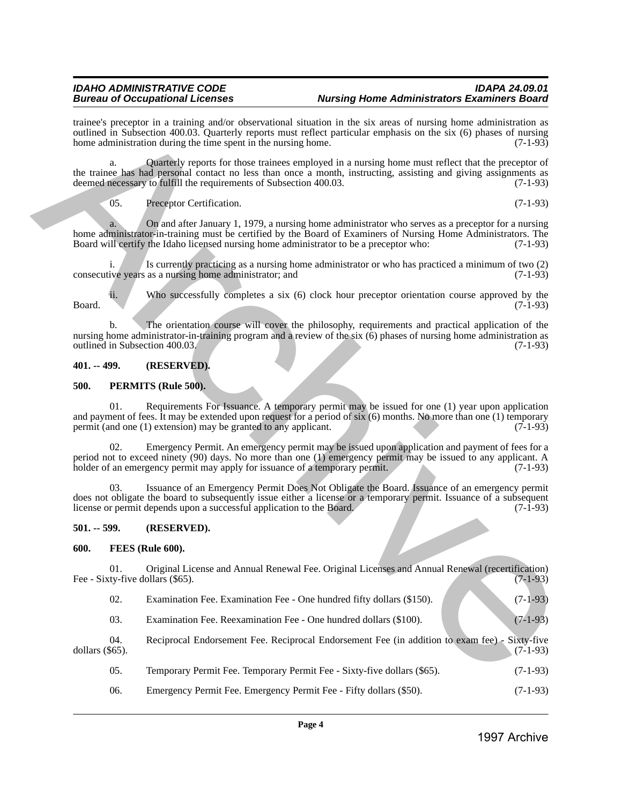# *IDAHO ADMINISTRATIVE CODE IDAPA 24.09.01 Aursing Home Administrators Examiners Board*

trainee's preceptor in a training and/or observational situation in the six areas of nursing home administration as outlined in Subsection 400.03. Quarterly reports must reflect particular emphasis on the six (6) phases of nursing home administration during the time spent in the nursing home. (7-1-93) home administration during the time spent in the nursing home.

a. Quarterly reports for those trainees employed in a nursing home must reflect that the preceptor of the trainee has had personal contact no less than once a month, instructing, assisting and giving assignments as deemed necessary to fulfill the requirements of Subsection 400.03. (7-1-93) deemed necessary to fulfill the requirements of Subsection 400.03.

05. Preceptor Certification. (7-1-93)

a. On and after January 1, 1979, a nursing home administrator who serves as a preceptor for a nursing home administrator-in-training must be certified by the Board of Examiners of Nursing Home Administrators. The<br>Board will certify the Idaho licensed nursing home administrator to be a preceptor who: (7-1-93) Board will certify the Idaho licensed nursing home administrator to be a preceptor who:

i. Is currently practicing as a nursing home administrator or who has practiced a minimum of two (2) ive years as a nursing home administrator; and (7-1-93) consecutive years as a nursing home administrator; and

ii. Who successfully completes a six (6) clock hour preceptor orientation course approved by the Board. (7-1-93)

b. The orientation course will cover the philosophy, requirements and practical application of the nursing home administrator-in-training program and a review of the six  $(6)$  phases of nursing home administration as outlined in Subsection 400.03.  $(7-1-93)$ outlined in Subsection 400.03.

# <span id="page-3-0"></span>**401. -- 499. (RESERVED).**

### <span id="page-3-1"></span>**500. PERMITS (Rule 500).**

01. Requirements For Issuance. A temporary permit may be issued for one (1) year upon application and payment of fees. It may be extended upon request for a period of six (6) months. No more than one (1) temporary permit (and one (1) extension) may be granted to any applicant. (7-1-93) permit (and one  $(1)$  extension) may be granted to any applicant. Hence Street in a European Street in the street in a first in an interior in the street in a first in a first interior (i.e., the street in a first interior (i.e., the street in a first interior interior interior interi

Emergency Permit. An emergency permit may be issued upon application and payment of fees for a period not to exceed ninety (90) days. No more than one (1) emergency permit may be issued to any applicant. A holder of an emergency permit may apply for issuance of a temporary permit. (7-1-93) holder of an emergency permit may apply for issuance of a temporary permit.

03. Issuance of an Emergency Permit Does Not Obligate the Board. Issuance of an emergency permit does not obligate the board to subsequently issue either a license or a temporary permit. Issuance of a subsequent license or permit depends upon a successful application to the Board. (7-1-93)

# <span id="page-3-2"></span>**501. -- 599. (RESERVED).**

### <span id="page-3-3"></span>**600. FEES (Rule 600).**

01. Original License and Annual Renewal Fee. Original Licenses and Annual Renewal (recertification)<br>(7-1-93) Fee - Sixty-five dollars (\$65).

| 02. | Examination Fee. Examination Fee - One hundred fifty dollars (\$150). |  |  |  | $(7-1-93)$ |  |
|-----|-----------------------------------------------------------------------|--|--|--|------------|--|
|-----|-----------------------------------------------------------------------|--|--|--|------------|--|

03. Examination Fee. Reexamination Fee - One hundred dollars (\$100). (7-1-93)

04. Reciprocal Endorsement Fee. Reciprocal Endorsement Fee (in addition to exam fee) - Sixty-five dollars (\$65). dollars (\$65). (7-1-93)

- 05. Temporary Permit Fee. Temporary Permit Fee Sixty-five dollars (\$65). (7-1-93)
- 06. Emergency Permit Fee. Emergency Permit Fee Fifty dollars (\$50). (7-1-93)